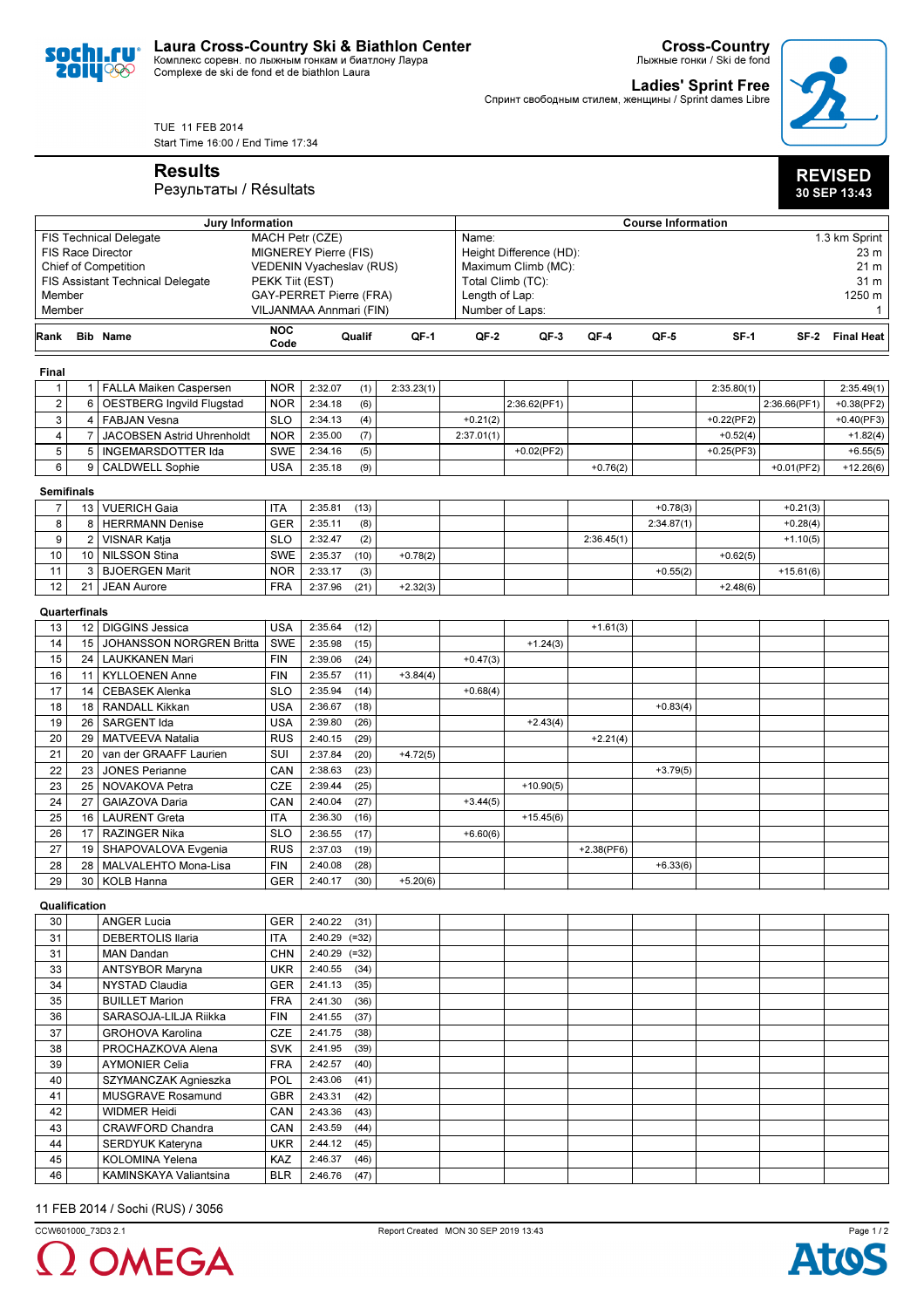

Cross-Country Лыжные гонки / Ski de fond

**Ladies' Sprint Free**<br>Спринт свободным стилем, женщины / Sprint dames Libre



REVISED 30 SEP 13:43

TUE 11 FEB 2014 Start Time 16:00 / End Time 17:34

Results

## Результаты / Résultats

|                                         | Jury Information                                         |                                  |                    |                                |                                 | <b>Course Information</b> |                |                     |              |            |               |               |                        |  |
|-----------------------------------------|----------------------------------------------------------|----------------------------------|--------------------|--------------------------------|---------------------------------|---------------------------|----------------|---------------------|--------------|------------|---------------|---------------|------------------------|--|
|                                         | MACH Petr (CZE)<br><b>FIS Technical Delegate</b>         |                                  |                    |                                |                                 | 1.3 km Sprint<br>Name:    |                |                     |              |            |               |               |                        |  |
|                                         | <b>FIS Race Director</b><br><b>MIGNEREY Pierre (FIS)</b> |                                  |                    |                                | Height Difference (HD):<br>23 m |                           |                |                     |              |            |               |               |                        |  |
|                                         | <b>Chief of Competition</b>                              |                                  |                    | VEDENIN Vyacheslav (RUS)       |                                 |                           |                | Maximum Climb (MC): |              |            |               |               |                        |  |
| <b>FIS Assistant Technical Delegate</b> |                                                          |                                  | PEKK Tiit (EST)    |                                |                                 |                           |                | Total Climb (TC):   |              | 31 m       |               |               |                        |  |
|                                         | Member                                                   |                                  |                    | <b>GAY-PERRET Pierre (FRA)</b> |                                 |                           | Length of Lap: |                     |              |            |               | 1250 m        |                        |  |
| Member                                  |                                                          |                                  |                    | VILJANMAA Annmari (FIN)        |                                 |                           |                | Number of Laps:     |              |            |               |               | $\mathbf{1}$           |  |
| Rank                                    |                                                          | <b>Bib Name</b>                  | <b>NOC</b><br>Code |                                | Qualif                          | QF-1                      | QF-2           | QF-3                | QF-4         | QF-5       | $SF-1$        |               | <b>SF-2 Final Heat</b> |  |
|                                         |                                                          |                                  |                    |                                |                                 |                           |                |                     |              |            |               |               |                        |  |
| Final                                   |                                                          |                                  |                    |                                |                                 |                           |                |                     |              |            |               |               |                        |  |
| $\mathbf{1}$                            |                                                          | 1   FALLA Maiken Caspersen       | <b>NOR</b>         | 2:32.07                        | (1)                             | 2:33.23(1)                |                |                     |              |            | 2:35.80(1)    |               | 2:35.49(1)             |  |
| $\overline{\mathbf{c}}$                 | 6                                                        | <b>OESTBERG Ingvild Flugstad</b> | <b>NOR</b>         | 2:34.18                        | (6)                             |                           |                | 2:36.62(PF1)        |              |            |               | 2:36.66(PF1)  | $+0.38(PF2)$           |  |
| 3                                       | 4                                                        | <b>FABJAN Vesna</b>              | <b>SLO</b>         | 2:34.13                        | (4)                             |                           | $+0.21(2)$     |                     |              |            | $+0.22$ (PF2) |               | $+0.40(PF3)$           |  |
| 4                                       | 7                                                        | JACOBSEN Astrid Uhrenholdt       | <b>NOR</b>         | 2:35.00                        | (7)                             |                           | 2:37.01(1)     |                     |              |            | $+0.52(4)$    |               | $+1.82(4)$             |  |
| 5                                       | 5                                                        | INGEMARSDOTTER Ida               | <b>SWE</b>         | 2:34.16                        | (5)                             |                           |                | $+0.02$ (PF2)       |              |            | $+0.25(PF3)$  |               | $+6.55(5)$             |  |
| 6                                       |                                                          | 9   CALDWELL Sophie              | <b>USA</b>         | 2:35.18                        | (9)                             |                           |                |                     | $+0.76(2)$   |            |               | $+0.01$ (PF2) | $+12.26(6)$            |  |
|                                         | <b>Semifinals</b>                                        |                                  |                    |                                |                                 |                           |                |                     |              |            |               |               |                        |  |
| $\overline{7}$                          |                                                          | 13   VUERICH Gaia                | <b>ITA</b>         | 2:35.81                        | (13)                            |                           |                |                     |              | $+0.78(3)$ |               | $+0.21(3)$    |                        |  |
| 8                                       | 8                                                        | HERRMANN Denise                  | <b>GER</b>         | 2:35.11                        | (8)                             |                           |                |                     |              | 2:34.87(1) |               | $+0.28(4)$    |                        |  |
| 9                                       | $\overline{2}$                                           | <b>VISNAR Katja</b>              | <b>SLO</b>         | 2:32.47                        | (2)                             |                           |                |                     | 2:36.45(1)   |            |               | $+1.10(5)$    |                        |  |
| 10                                      | 10                                                       | <b>NILSSON Stina</b>             | <b>SWE</b>         | 2:35.37                        | (10)                            | $+0.78(2)$                |                |                     |              |            | $+0.62(5)$    |               |                        |  |
| 11                                      | 3                                                        | <b>BJOERGEN Marit</b>            | <b>NOR</b>         | 2:33.17                        | (3)                             |                           |                |                     |              | $+0.55(2)$ |               | $+15.61(6)$   |                        |  |
| 12                                      | 21                                                       | <b>JEAN Aurore</b>               | <b>FRA</b>         | 2:37.96                        | (21)                            | $+2.32(3)$                |                |                     |              |            | $+2.48(6)$    |               |                        |  |
|                                         |                                                          |                                  |                    |                                |                                 |                           |                |                     |              |            |               |               |                        |  |
|                                         | Quarterfinals                                            |                                  |                    |                                |                                 |                           |                |                     |              |            |               |               |                        |  |
| 13                                      |                                                          | 12   DIGGINS Jessica             | <b>USA</b>         | 2:35.64                        | (12)                            |                           |                |                     | $+1.61(3)$   |            |               |               |                        |  |
| 14                                      | 15                                                       | JOHANSSON NORGREN Britta         | <b>SWE</b>         | 2:35.98                        | (15)                            |                           |                | $+1.24(3)$          |              |            |               |               |                        |  |
| 15                                      |                                                          | 24   LAUKKANEN Mari              | <b>FIN</b>         | 2:39.06                        | (24)                            |                           | $+0.47(3)$     |                     |              |            |               |               |                        |  |
| 16                                      | 11                                                       | <b>KYLLOENEN Anne</b>            | <b>FIN</b>         | 2:35.57                        | (11)                            | $+3.84(4)$                |                |                     |              |            |               |               |                        |  |
| 17                                      | 14                                                       | <b>CEBASEK Alenka</b>            | <b>SLO</b>         | 2:35.94                        | (14)                            |                           | $+0.68(4)$     |                     |              |            |               |               |                        |  |
| 18                                      | 18                                                       | <b>RANDALL Kikkan</b>            | <b>USA</b>         | 2:36.67                        | (18)                            |                           |                |                     |              | $+0.83(4)$ |               |               |                        |  |
| 19                                      | 26                                                       | SARGENT Ida                      | <b>USA</b>         | 2:39.80                        | (26)                            |                           |                | $+2.43(4)$          |              |            |               |               |                        |  |
| 20                                      | 29                                                       | MATVEEVA Natalia                 | <b>RUS</b>         | 2:40.15                        | (29)                            |                           |                |                     | $+2.21(4)$   |            |               |               |                        |  |
| 21                                      | 20                                                       | van der GRAAFF Laurien           | SUI                | 2:37.84                        | (20)                            | $+4.72(5)$                |                |                     |              |            |               |               |                        |  |
| 22                                      | 23                                                       | <b>JONES Perianne</b>            | CAN                | 2:38.63                        | (23)                            |                           |                |                     |              | $+3.79(5)$ |               |               |                        |  |
| 23                                      | 25                                                       | NOVAKOVA Petra                   | <b>CZE</b>         | 2:39.44                        | (25)                            |                           |                | $+10.90(5)$         |              |            |               |               |                        |  |
| 24                                      | 27                                                       | GAIAZOVA Daria                   | CAN                | 2:40.04                        | (27)                            |                           | $+3.44(5)$     |                     |              |            |               |               |                        |  |
| 25                                      | 16                                                       | LAURENT Greta                    | <b>ITA</b>         | 2:36.30                        | (16)                            |                           |                | $+15.45(6)$         |              |            |               |               |                        |  |
| 26                                      | 17                                                       | <b>RAZINGER Nika</b>             | <b>SLO</b>         | 2:36.55                        | (17)                            |                           | $+6.60(6)$     |                     |              |            |               |               |                        |  |
| 27                                      |                                                          | 19 SHAPOVALOVA Evgenia           | <b>RUS</b>         | 2:37.03                        | (19)                            |                           |                |                     | $+2.38(PF6)$ |            |               |               |                        |  |
| 28                                      | 28                                                       | MALVALEHTO Mona-Lisa             | <b>FIN</b>         | 2:40.08                        | (28)                            |                           |                |                     |              | $+6.33(6)$ |               |               |                        |  |
| 29                                      | 30                                                       | <b>KOLB Hanna</b>                | <b>GER</b>         | 2:40.17                        | (30)                            | $+5.20(6)$                |                |                     |              |            |               |               |                        |  |
|                                         | Qualification                                            |                                  |                    |                                |                                 |                           |                |                     |              |            |               |               |                        |  |
| 30                                      |                                                          | <b>ANGER Lucia</b>               | GER                | 2:40.22                        | (31)                            |                           |                |                     |              |            |               |               |                        |  |
| 31                                      |                                                          | DEBERTOLIS Ilaria                | ITA                | $2:40.29$ (=32)                |                                 |                           |                |                     |              |            |               |               |                        |  |
| 31                                      |                                                          | <b>MAN Dandan</b>                | <b>CHN</b>         | $2:40.29$ (=32)                |                                 |                           |                |                     |              |            |               |               |                        |  |
| 33                                      |                                                          | ANTSYBOR Maryna                  | <b>UKR</b>         | 2:40.55                        | (34)                            |                           |                |                     |              |            |               |               |                        |  |
| 34                                      |                                                          | NYSTAD Claudia                   | <b>GER</b>         | 2:41.13                        | (35)                            |                           |                |                     |              |            |               |               |                        |  |
| 35                                      |                                                          | <b>BUILLET Marion</b>            | <b>FRA</b>         | 2:41.30                        | (36)                            |                           |                |                     |              |            |               |               |                        |  |
| 36                                      |                                                          | SARASOJA-LILJA Riikka            | <b>FIN</b>         | 2:41.55                        | (37)                            |                           |                |                     |              |            |               |               |                        |  |
| 37                                      |                                                          | GROHOVA Karolina                 | CZE                | 2:41.75                        | (38)                            |                           |                |                     |              |            |               |               |                        |  |
| 38                                      |                                                          | PROCHAZKOVA Alena                | <b>SVK</b>         | 2:41.95                        | (39)                            |                           |                |                     |              |            |               |               |                        |  |
| 39                                      |                                                          | <b>AYMONIER Celia</b>            | <b>FRA</b>         | 2:42.57                        | (40)                            |                           |                |                     |              |            |               |               |                        |  |
| 40                                      |                                                          | SZYMANCZAK Agnieszka             | POL                | 2:43.06                        | (41)                            |                           |                |                     |              |            |               |               |                        |  |
| 41                                      |                                                          | MUSGRAVE Rosamund                | <b>GBR</b>         | 2:43.31                        | (42)                            |                           |                |                     |              |            |               |               |                        |  |
| 42                                      |                                                          | <b>WIDMER Heidi</b>              | CAN                | 2:43.36                        | (43)                            |                           |                |                     |              |            |               |               |                        |  |
| 43                                      |                                                          | CRAWFORD Chandra                 | CAN                | 2:43.59                        | (44)                            |                           |                |                     |              |            |               |               |                        |  |
|                                         |                                                          |                                  | <b>UKR</b>         |                                | (45)                            |                           |                |                     |              |            |               |               |                        |  |
| 44<br>45                                |                                                          | SERDYUK Kateryna                 |                    | 2:44.12                        |                                 |                           |                |                     |              |            |               |               |                        |  |
|                                         |                                                          | KOLOMINA Yelena                  | <b>KAZ</b>         | 2:46.37                        | (46)                            |                           |                |                     |              |            |               |               |                        |  |
| 46                                      |                                                          | KAMINSKAYA Valiantsina           | <b>BLR</b>         | 2:46.76                        | (47)                            |                           |                |                     |              |            |               |               |                        |  |

## 11 FEB 2014 / Sochi (RUS) / 3056